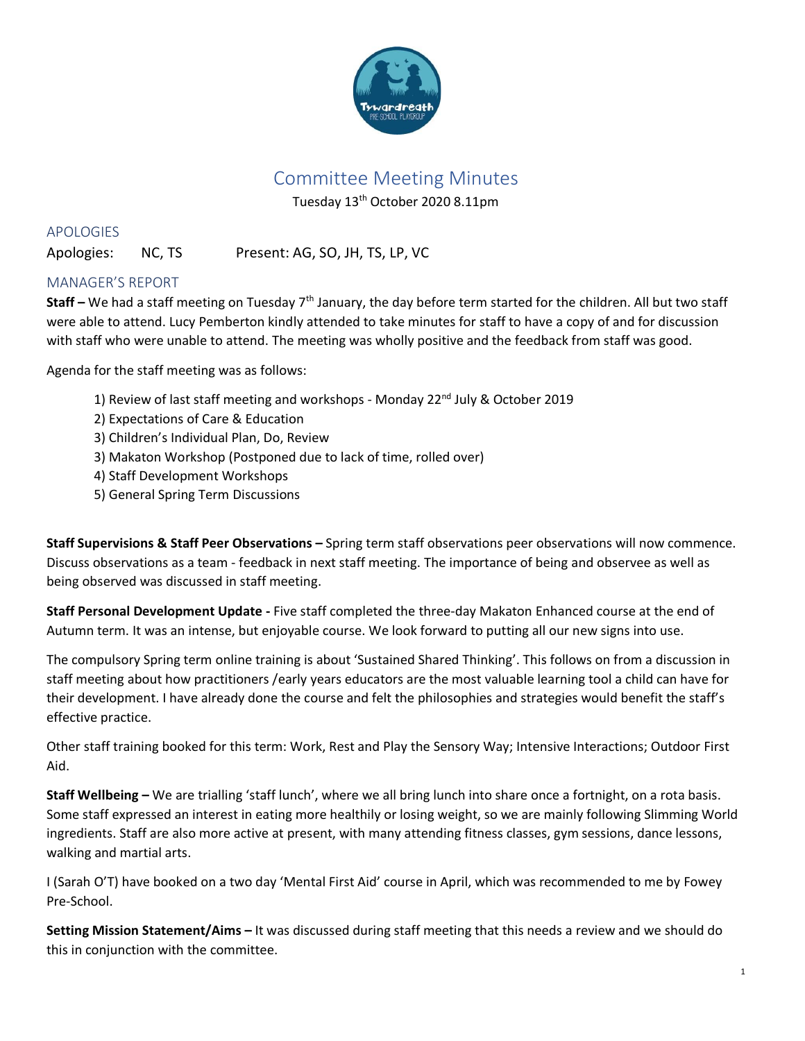

# Committee Meeting Minutes

Tuesday 13th October 2020 8.11pm

APOLOGIES

Apologies: NC, TS Present: AG, SO, JH, TS, LP, VC

# MANAGER'S REPORT

**Staff** – We had a staff meeting on Tuesday 7<sup>th</sup> January, the day before term started for the children. All but two staff were able to attend. Lucy Pemberton kindly attended to take minutes for staff to have a copy of and for discussion with staff who were unable to attend. The meeting was wholly positive and the feedback from staff was good.

Agenda for the staff meeting was as follows:

- 1) Review of last staff meeting and workshops Monday 22<sup>nd</sup> July & October 2019
- 2) Expectations of Care & Education
- 3) Children's Individual Plan, Do, Review
- 3) Makaton Workshop (Postponed due to lack of time, rolled over)
- 4) Staff Development Workshops
- 5) General Spring Term Discussions

**Staff Supervisions & Staff Peer Observations –** Spring term staff observations peer observations will now commence. Discuss observations as a team - feedback in next staff meeting. The importance of being and observee as well as being observed was discussed in staff meeting.

**Staff Personal Development Update -** Five staff completed the three-day Makaton Enhanced course at the end of Autumn term. It was an intense, but enjoyable course. We look forward to putting all our new signs into use.

The compulsory Spring term online training is about 'Sustained Shared Thinking'. This follows on from a discussion in staff meeting about how practitioners /early years educators are the most valuable learning tool a child can have for their development. I have already done the course and felt the philosophies and strategies would benefit the staff's effective practice.

Other staff training booked for this term: Work, Rest and Play the Sensory Way; Intensive Interactions; Outdoor First Aid.

**Staff Wellbeing –** We are trialling 'staff lunch', where we all bring lunch into share once a fortnight, on a rota basis. Some staff expressed an interest in eating more healthily or losing weight, so we are mainly following Slimming World ingredients. Staff are also more active at present, with many attending fitness classes, gym sessions, dance lessons, walking and martial arts.

I (Sarah O'T) have booked on a two day 'Mental First Aid' course in April, which was recommended to me by Fowey Pre-School.

**Setting Mission Statement/Aims –** It was discussed during staff meeting that this needs a review and we should do this in conjunction with the committee.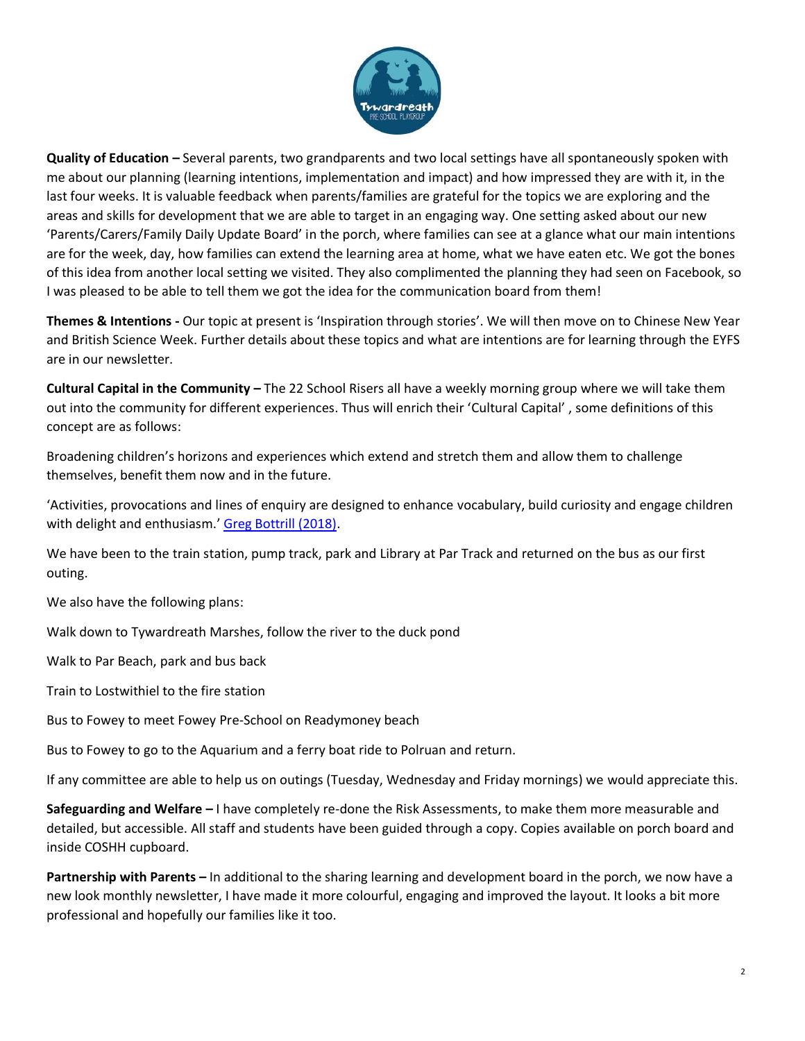

**Quality of Education –** Several parents, two grandparents and two local settings have all spontaneously spoken with me about our planning (learning intentions, implementation and impact) and how impressed they are with it, in the last four weeks. It is valuable feedback when parents/families are grateful for the topics we are exploring and the areas and skills for development that we are able to target in an engaging way. One setting asked about our new 'Parents/Carers/Family Daily Update Board' in the porch, where families can see at a glance what our main intentions are for the week, day, how families can extend the learning area at home, what we have eaten etc. We got the bones of this idea from another local setting we visited. They also complimented the planning they had seen on Facebook, so I was pleased to be able to tell them we got the idea for the communication board from them!

**Themes & Intentions -** Our topic at present is 'Inspiration through stories'. We will then move on to Chinese New Year and British Science Week. Further details about these topics and what are intentions are for learning through the EYFS are in our newsletter.

**Cultural Capital in the Community –** The 22 School Risers all have a weekly morning group where we will take them out into the community for different experiences. Thus will enrich their 'Cultural Capital' , some definitions of this concept are as follows:

Broadening children's horizons and experiences which extend and stretch them and allow them to challenge themselves, benefit them now and in the future.

'Activities, provocations and lines of enquiry are designed to enhance vocabulary, build curiosity and engage children with delight and enthusiasm.' [Greg Bottrill \(2018\).](https://books.google.co.uk/books/about/Can_I_Go_and_Play_Now.html?id=8D43tAEACAAJ&source=kp_book_description&redir_esc=y)

We have been to the train station, pump track, park and Library at Par Track and returned on the bus as our first outing.

We also have the following plans:

Walk down to Tywardreath Marshes, follow the river to the duck pond

Walk to Par Beach, park and bus back

Train to Lostwithiel to the fire station

Bus to Fowey to meet Fowey Pre-School on Readymoney beach

Bus to Fowey to go to the Aquarium and a ferry boat ride to Polruan and return.

If any committee are able to help us on outings (Tuesday, Wednesday and Friday mornings) we would appreciate this.

**Safeguarding and Welfare –** I have completely re-done the Risk Assessments, to make them more measurable and detailed, but accessible. All staff and students have been guided through a copy. Copies available on porch board and inside COSHH cupboard.

**Partnership with Parents –** In additional to the sharing learning and development board in the porch, we now have a new look monthly newsletter, I have made it more colourful, engaging and improved the layout. It looks a bit more professional and hopefully our families like it too.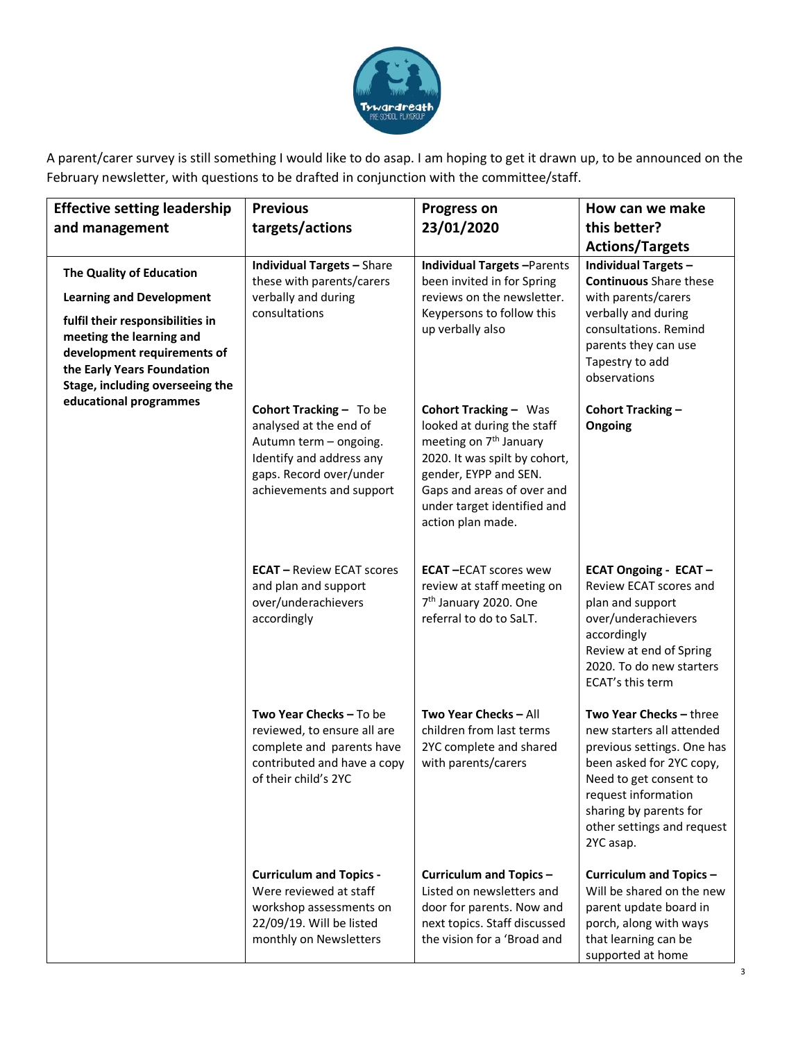

A parent/carer survey is still something I would like to do asap. I am hoping to get it drawn up, to be announced on the February newsletter, with questions to be drafted in conjunction with the committee/staff.

| <b>Effective setting leadership</b>                                                                                                                                                                                                                   | <b>Previous</b>                                                                                                                                                | <b>Progress on</b>                                                                                                                                                                                                                           | How can we make                                                                                                                                                                                                                      |
|-------------------------------------------------------------------------------------------------------------------------------------------------------------------------------------------------------------------------------------------------------|----------------------------------------------------------------------------------------------------------------------------------------------------------------|----------------------------------------------------------------------------------------------------------------------------------------------------------------------------------------------------------------------------------------------|--------------------------------------------------------------------------------------------------------------------------------------------------------------------------------------------------------------------------------------|
| and management                                                                                                                                                                                                                                        | targets/actions                                                                                                                                                | 23/01/2020                                                                                                                                                                                                                                   | this better?                                                                                                                                                                                                                         |
|                                                                                                                                                                                                                                                       |                                                                                                                                                                |                                                                                                                                                                                                                                              | <b>Actions/Targets</b>                                                                                                                                                                                                               |
| The Quality of Education<br><b>Learning and Development</b><br>fulfil their responsibilities in<br>meeting the learning and<br>development requirements of<br>the Early Years Foundation<br>Stage, including overseeing the<br>educational programmes | <b>Individual Targets - Share</b><br>these with parents/carers<br>verbally and during<br>consultations                                                         | <b>Individual Targets-Parents</b><br>been invited in for Spring<br>reviews on the newsletter.<br>Keypersons to follow this<br>up verbally also                                                                                               | <b>Individual Targets -</b><br><b>Continuous</b> Share these<br>with parents/carers<br>verbally and during<br>consultations. Remind<br>parents they can use<br>Tapestry to add<br>observations                                       |
|                                                                                                                                                                                                                                                       | Cohort Tracking - To be<br>analysed at the end of<br>Autumn term - ongoing.<br>Identify and address any<br>gaps. Record over/under<br>achievements and support | <b>Cohort Tracking - Was</b><br>looked at during the staff<br>meeting on 7 <sup>th</sup> January<br>2020. It was spilt by cohort,<br>gender, EYPP and SEN.<br>Gaps and areas of over and<br>under target identified and<br>action plan made. | Cohort Tracking -<br>Ongoing                                                                                                                                                                                                         |
|                                                                                                                                                                                                                                                       | <b>ECAT</b> - Review ECAT scores<br>and plan and support<br>over/underachievers<br>accordingly                                                                 | <b>ECAT-ECAT scores wew</b><br>review at staff meeting on<br>7 <sup>th</sup> January 2020. One<br>referral to do to SaLT.                                                                                                                    | <b>ECAT Ongoing - ECAT -</b><br>Review ECAT scores and<br>plan and support<br>over/underachievers<br>accordingly<br>Review at end of Spring<br>2020. To do new starters<br>ECAT's this term                                          |
|                                                                                                                                                                                                                                                       | Two Year Checks - To be<br>reviewed, to ensure all are<br>complete and parents have<br>contributed and have a copy<br>of their child's 2YC                     | Two Year Checks - All<br>children from last terms<br>2YC complete and shared<br>with parents/carers                                                                                                                                          | Two Year Checks - three<br>new starters all attended<br>previous settings. One has<br>been asked for 2YC copy,<br>Need to get consent to<br>request information<br>sharing by parents for<br>other settings and request<br>2YC asap. |
|                                                                                                                                                                                                                                                       | <b>Curriculum and Topics -</b><br>Were reviewed at staff<br>workshop assessments on<br>22/09/19. Will be listed<br>monthly on Newsletters                      | Curriculum and Topics-<br>Listed on newsletters and<br>door for parents. Now and<br>next topics. Staff discussed<br>the vision for a 'Broad and                                                                                              | Curriculum and Topics -<br>Will be shared on the new<br>parent update board in<br>porch, along with ways<br>that learning can be<br>supported at home                                                                                |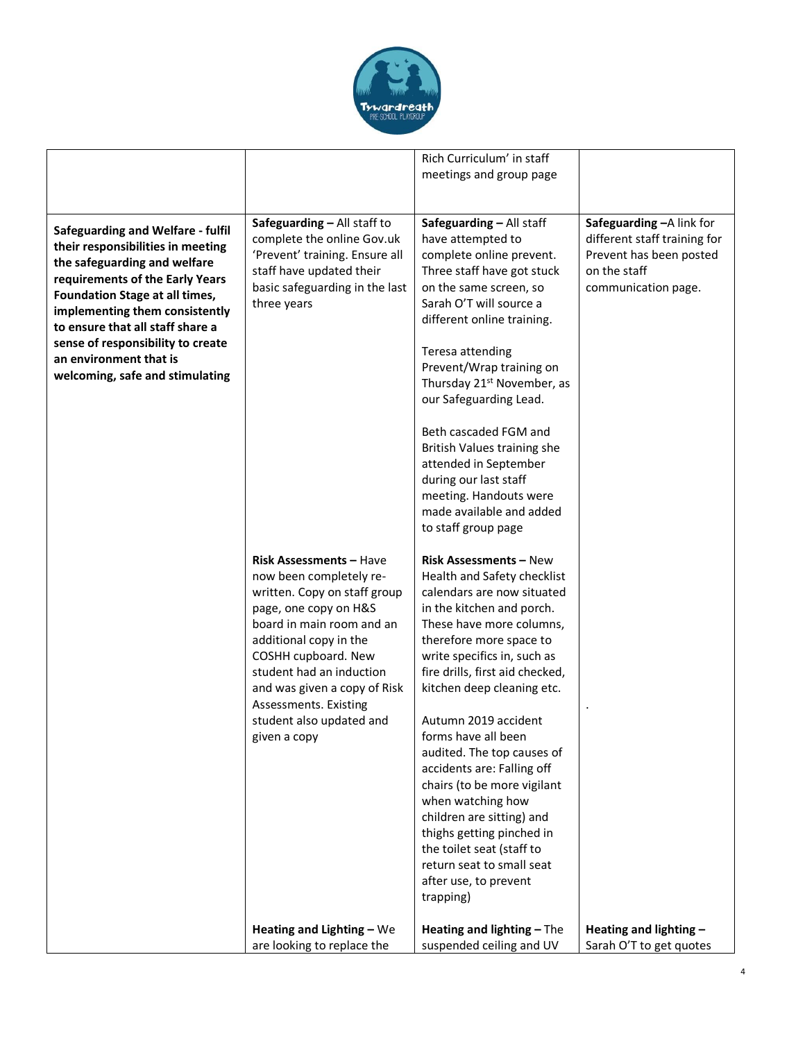

|                                                                                                                                                                                                                                                                                                                                                            |                                                                                                                                                                                                                                                                                                                                   | Rich Curriculum' in staff<br>meetings and group page                                                                                                                                                                                                                                                                                                                                                                                                                                                                                                                                                    |                                                                                                                             |
|------------------------------------------------------------------------------------------------------------------------------------------------------------------------------------------------------------------------------------------------------------------------------------------------------------------------------------------------------------|-----------------------------------------------------------------------------------------------------------------------------------------------------------------------------------------------------------------------------------------------------------------------------------------------------------------------------------|---------------------------------------------------------------------------------------------------------------------------------------------------------------------------------------------------------------------------------------------------------------------------------------------------------------------------------------------------------------------------------------------------------------------------------------------------------------------------------------------------------------------------------------------------------------------------------------------------------|-----------------------------------------------------------------------------------------------------------------------------|
| <b>Safeguarding and Welfare - fulfil</b><br>their responsibilities in meeting<br>the safeguarding and welfare<br>requirements of the Early Years<br>Foundation Stage at all times,<br>implementing them consistently<br>to ensure that all staff share a<br>sense of responsibility to create<br>an environment that is<br>welcoming, safe and stimulating | Safeguarding - All staff to<br>complete the online Gov.uk<br>'Prevent' training. Ensure all<br>staff have updated their<br>basic safeguarding in the last<br>three years                                                                                                                                                          | Safeguarding - All staff<br>have attempted to<br>complete online prevent.<br>Three staff have got stuck<br>on the same screen, so<br>Sarah O'T will source a<br>different online training.<br>Teresa attending<br>Prevent/Wrap training on<br>Thursday 21 <sup>st</sup> November, as<br>our Safeguarding Lead.<br>Beth cascaded FGM and<br>British Values training she<br>attended in September<br>during our last staff<br>meeting. Handouts were<br>made available and added<br>to staff group page                                                                                                   | Safeguarding - A link for<br>different staff training for<br>Prevent has been posted<br>on the staff<br>communication page. |
|                                                                                                                                                                                                                                                                                                                                                            | <b>Risk Assessments – Have</b><br>now been completely re-<br>written. Copy on staff group<br>page, one copy on H&S<br>board in main room and an<br>additional copy in the<br>COSHH cupboard. New<br>student had an induction<br>and was given a copy of Risk<br>Assessments. Existing<br>student also updated and<br>given a copy | <b>Risk Assessments - New</b><br>Health and Safety checklist<br>calendars are now situated<br>in the kitchen and porch.<br>These have more columns,<br>therefore more space to<br>write specifics in, such as<br>fire drills, first aid checked,<br>kitchen deep cleaning etc.<br>Autumn 2019 accident<br>forms have all been<br>audited. The top causes of<br>accidents are: Falling off<br>chairs (to be more vigilant<br>when watching how<br>children are sitting) and<br>thighs getting pinched in<br>the toilet seat (staff to<br>return seat to small seat<br>after use, to prevent<br>trapping) |                                                                                                                             |
|                                                                                                                                                                                                                                                                                                                                                            | Heating and Lighting - We<br>are looking to replace the                                                                                                                                                                                                                                                                           | Heating and lighting - The<br>suspended ceiling and UV                                                                                                                                                                                                                                                                                                                                                                                                                                                                                                                                                  | Heating and lighting -<br>Sarah O'T to get quotes                                                                           |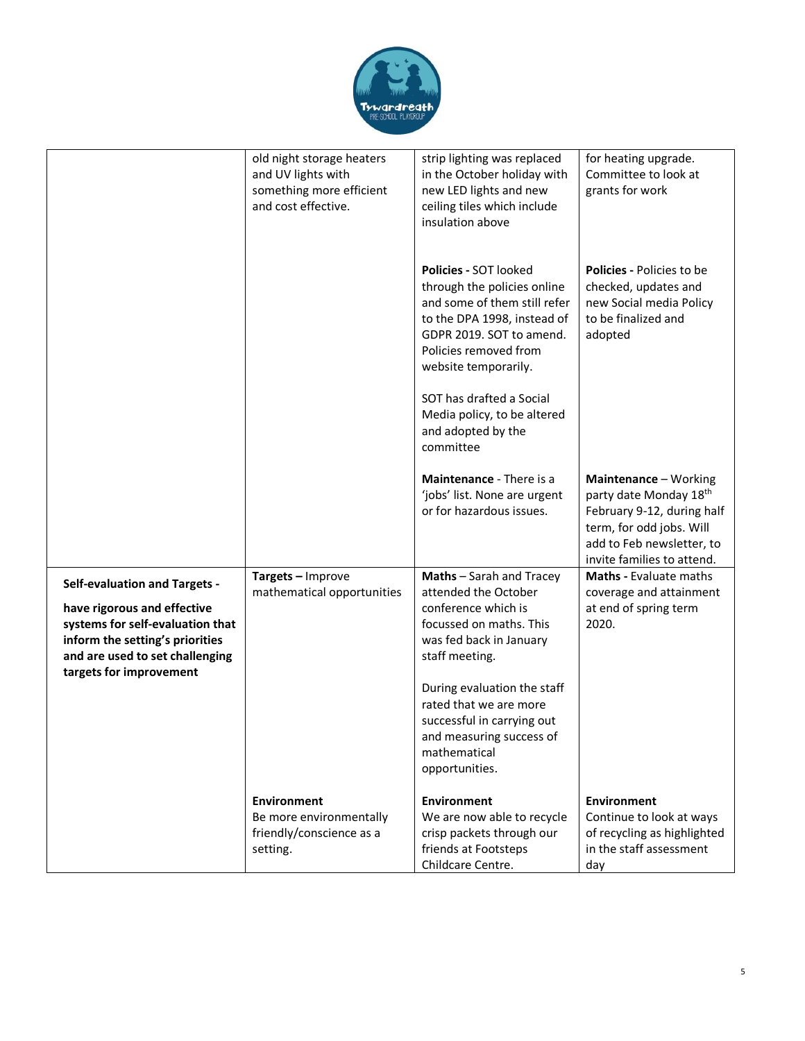

|                                                                                                                                                                                                          | old night storage heaters<br>and UV lights with<br>something more efficient<br>and cost effective. | strip lighting was replaced<br>in the October holiday with<br>new LED lights and new<br>ceiling tiles which include<br>insulation above                                                                                                                            | for heating upgrade.<br>Committee to look at<br>grants for work                                                                                                                  |
|----------------------------------------------------------------------------------------------------------------------------------------------------------------------------------------------------------|----------------------------------------------------------------------------------------------------|--------------------------------------------------------------------------------------------------------------------------------------------------------------------------------------------------------------------------------------------------------------------|----------------------------------------------------------------------------------------------------------------------------------------------------------------------------------|
|                                                                                                                                                                                                          |                                                                                                    | <b>Policies - SOT looked</b><br>through the policies online<br>and some of them still refer<br>to the DPA 1998, instead of<br>GDPR 2019. SOT to amend.<br>Policies removed from<br>website temporarily.                                                            | Policies - Policies to be<br>checked, updates and<br>new Social media Policy<br>to be finalized and<br>adopted                                                                   |
|                                                                                                                                                                                                          |                                                                                                    | SOT has drafted a Social<br>Media policy, to be altered<br>and adopted by the<br>committee                                                                                                                                                                         |                                                                                                                                                                                  |
|                                                                                                                                                                                                          |                                                                                                    | Maintenance - There is a<br>'jobs' list. None are urgent<br>or for hazardous issues.                                                                                                                                                                               | Maintenance - Working<br>party date Monday 18 <sup>th</sup><br>February 9-12, during half<br>term, for odd jobs. Will<br>add to Feb newsletter, to<br>invite families to attend. |
| <b>Self-evaluation and Targets -</b><br>have rigorous and effective<br>systems for self-evaluation that<br>inform the setting's priorities<br>and are used to set challenging<br>targets for improvement | Targets - Improve<br>mathematical opportunities                                                    | Maths - Sarah and Tracey<br>attended the October<br>conference which is<br>focussed on maths. This<br>was fed back in January<br>staff meeting.<br>During evaluation the staff<br>rated that we are more<br>successful in carrying out<br>and measuring success of | <b>Maths - Evaluate maths</b><br>coverage and attainment<br>at end of spring term<br>2020.                                                                                       |
|                                                                                                                                                                                                          | <b>Environment</b><br>Be more environmentally<br>friendly/conscience as a<br>setting.              | mathematical<br>opportunities.<br><b>Environment</b><br>We are now able to recycle<br>crisp packets through our<br>friends at Footsteps<br>Childcare Centre.                                                                                                       | <b>Environment</b><br>Continue to look at ways<br>of recycling as highlighted<br>in the staff assessment<br>day                                                                  |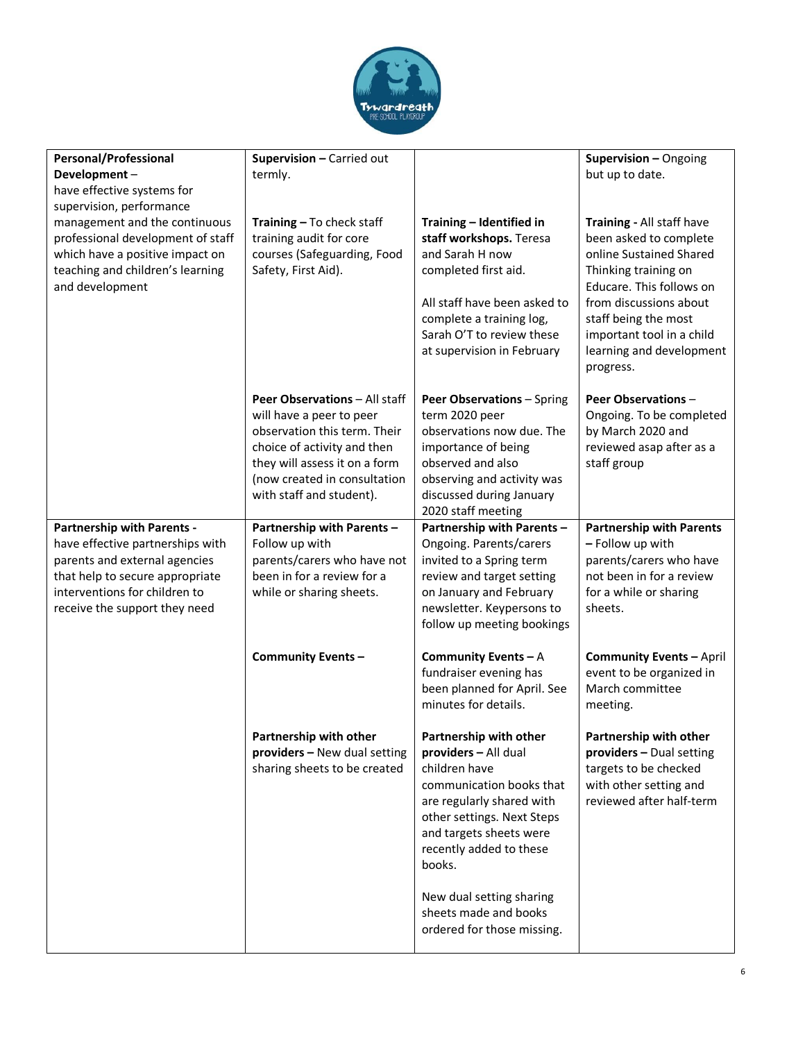

| <b>Personal/Professional</b><br>Development-                                                                                                                                                                           | Supervision - Carried out<br>termly.                                                                                                                                                                                  |                                                                                                                                                                                                                        | Supervision - Ongoing<br>but up to date.                                                                                                                                                                                                                   |
|------------------------------------------------------------------------------------------------------------------------------------------------------------------------------------------------------------------------|-----------------------------------------------------------------------------------------------------------------------------------------------------------------------------------------------------------------------|------------------------------------------------------------------------------------------------------------------------------------------------------------------------------------------------------------------------|------------------------------------------------------------------------------------------------------------------------------------------------------------------------------------------------------------------------------------------------------------|
| have effective systems for<br>supervision, performance<br>management and the continuous<br>professional development of staff<br>which have a positive impact on<br>teaching and children's learning<br>and development | Training - To check staff<br>training audit for core<br>courses (Safeguarding, Food<br>Safety, First Aid).                                                                                                            | Training - Identified in<br>staff workshops. Teresa<br>and Sarah H now<br>completed first aid.<br>All staff have been asked to<br>complete a training log,<br>Sarah O'T to review these<br>at supervision in February  | Training - All staff have<br>been asked to complete<br>online Sustained Shared<br>Thinking training on<br>Educare. This follows on<br>from discussions about<br>staff being the most<br>important tool in a child<br>learning and development<br>progress. |
|                                                                                                                                                                                                                        | Peer Observations - All staff<br>will have a peer to peer<br>observation this term. Their<br>choice of activity and then<br>they will assess it on a form<br>(now created in consultation<br>with staff and student). | <b>Peer Observations - Spring</b><br>term 2020 peer<br>observations now due. The<br>importance of being<br>observed and also<br>observing and activity was<br>discussed during January<br>2020 staff meeting           | <b>Peer Observations -</b><br>Ongoing. To be completed<br>by March 2020 and<br>reviewed asap after as a<br>staff group                                                                                                                                     |
| <b>Partnership with Parents -</b><br>have effective partnerships with<br>parents and external agencies<br>that help to secure appropriate<br>interventions for children to<br>receive the support they need            | Partnership with Parents -<br>Follow up with<br>parents/carers who have not<br>been in for a review for a<br>while or sharing sheets.                                                                                 | Partnership with Parents -<br>Ongoing. Parents/carers<br>invited to a Spring term<br>review and target setting<br>on January and February<br>newsletter. Keypersons to<br>follow up meeting bookings                   | <b>Partnership with Parents</b><br>- Follow up with<br>parents/carers who have<br>not been in for a review<br>for a while or sharing<br>sheets.                                                                                                            |
|                                                                                                                                                                                                                        | <b>Community Events -</b>                                                                                                                                                                                             | Community Events $-A$<br>fundraiser evening has<br>been planned for April. See<br>minutes for details.                                                                                                                 | <b>Community Events - April</b><br>event to be organized in<br>March committee<br>meeting.                                                                                                                                                                 |
|                                                                                                                                                                                                                        | Partnership with other<br>providers - New dual setting<br>sharing sheets to be created                                                                                                                                | Partnership with other<br>providers - All dual<br>children have<br>communication books that<br>are regularly shared with<br>other settings. Next Steps<br>and targets sheets were<br>recently added to these<br>books. | Partnership with other<br>providers - Dual setting<br>targets to be checked<br>with other setting and<br>reviewed after half-term                                                                                                                          |
|                                                                                                                                                                                                                        |                                                                                                                                                                                                                       | New dual setting sharing<br>sheets made and books<br>ordered for those missing.                                                                                                                                        |                                                                                                                                                                                                                                                            |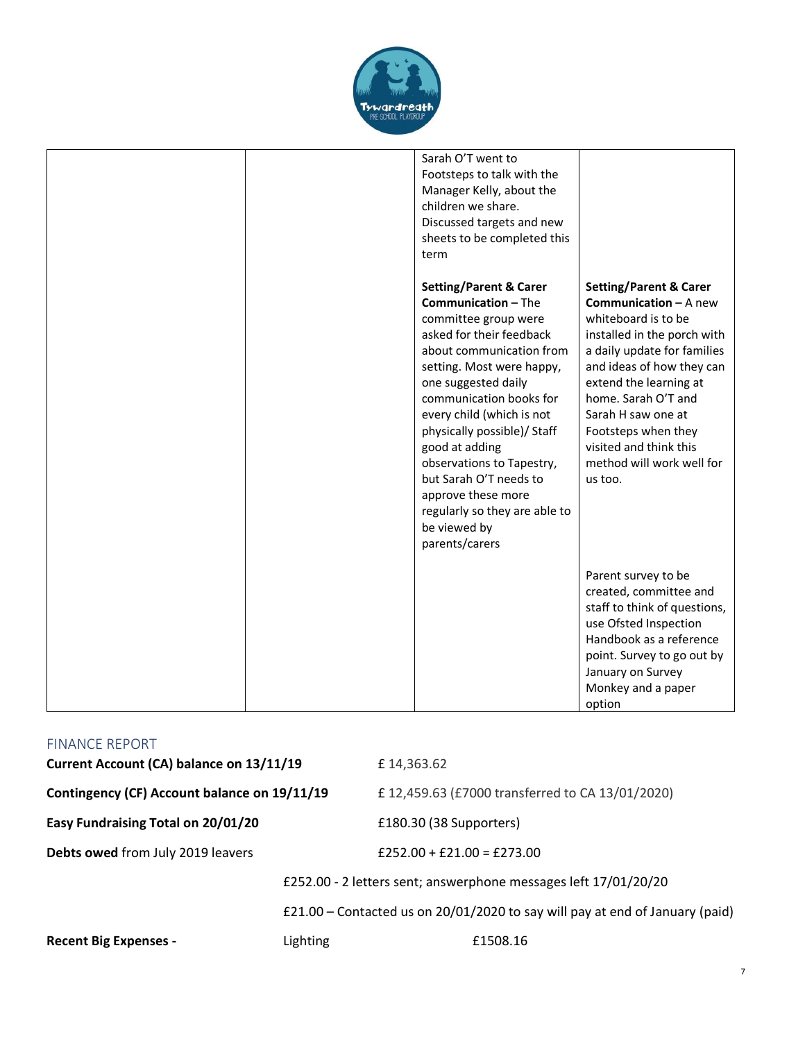

| Sarah O'T went to<br>Footsteps to talk with the<br>Manager Kelly, about the<br>children we share.<br>Discussed targets and new<br>sheets to be completed this<br>term                                                                                                                                                                                                                                                      |                                                                                                                                                                                                                                                                                                                                                     |
|----------------------------------------------------------------------------------------------------------------------------------------------------------------------------------------------------------------------------------------------------------------------------------------------------------------------------------------------------------------------------------------------------------------------------|-----------------------------------------------------------------------------------------------------------------------------------------------------------------------------------------------------------------------------------------------------------------------------------------------------------------------------------------------------|
| <b>Setting/Parent &amp; Carer</b><br><b>Communication - The</b><br>committee group were<br>asked for their feedback<br>about communication from<br>setting. Most were happy,<br>one suggested daily<br>communication books for<br>every child (which is not<br>physically possible)/ Staff<br>good at adding<br>observations to Tapestry,<br>but Sarah O'T needs to<br>approve these more<br>regularly so they are able to | <b>Setting/Parent &amp; Carer</b><br><b>Communication - A new</b><br>whiteboard is to be<br>installed in the porch with<br>a daily update for families<br>and ideas of how they can<br>extend the learning at<br>home. Sarah O'T and<br>Sarah H saw one at<br>Footsteps when they<br>visited and think this<br>method will work well for<br>us too. |
| be viewed by<br>parents/carers                                                                                                                                                                                                                                                                                                                                                                                             | Parent survey to be<br>created, committee and<br>staff to think of questions,<br>use Ofsted Inspection<br>Handbook as a reference<br>point. Survey to go out by<br>January on Survey<br>Monkey and a paper<br>option                                                                                                                                |

| Current Account (CA) balance on 13/11/19     |                                                                              | £14,363.62                                                      |
|----------------------------------------------|------------------------------------------------------------------------------|-----------------------------------------------------------------|
| Contingency (CF) Account balance on 19/11/19 |                                                                              | £12,459.63 (£7000 transferred to CA 13/01/2020)                 |
| Easy Fundraising Total on 20/01/20           |                                                                              | £180.30 (38 Supporters)                                         |
| Debts owed from July 2019 leavers            |                                                                              | £252.00 + £21.00 = £273.00                                      |
|                                              |                                                                              | £252.00 - 2 letters sent; answerphone messages left 17/01/20/20 |
|                                              | £21.00 - Contacted us on 20/01/2020 to say will pay at end of January (paid) |                                                                 |
| <b>Recent Big Expenses -</b>                 | Lighting                                                                     | £1508.16                                                        |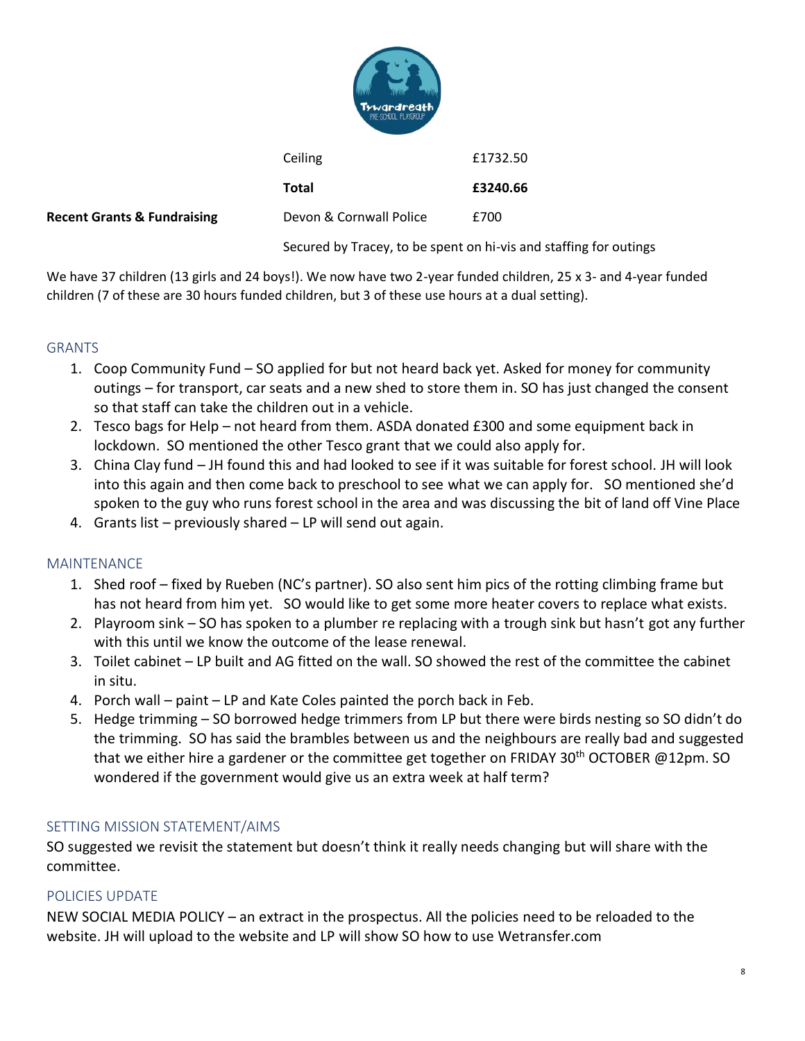|    | Tywardreath<br>PRE-SCHOOL PLAYGROUP |          |
|----|-------------------------------------|----------|
|    | Ceiling                             | £1732.50 |
|    | <b>Total</b>                        | £3240.66 |
| ıg | Devon & Cornwall Police             | £700     |

#### **Recent Grants & Fundraising**

Secured by Tracey, to be spent on hi-vis and staffing for outings

We have 37 children (13 girls and 24 boys!). We now have two 2-year funded children, 25 x 3- and 4-year funded children (7 of these are 30 hours funded children, but 3 of these use hours at a dual setting).

## **GRANTS**

- 1. Coop Community Fund SO applied for but not heard back yet. Asked for money for community outings – for transport, car seats and a new shed to store them in. SO has just changed the consent so that staff can take the children out in a vehicle.
- 2. Tesco bags for Help not heard from them. ASDA donated £300 and some equipment back in lockdown. SO mentioned the other Tesco grant that we could also apply for.
- 3. China Clay fund JH found this and had looked to see if it was suitable for forest school. JH will look into this again and then come back to preschool to see what we can apply for. SO mentioned she'd spoken to the guy who runs forest school in the area and was discussing the bit of land off Vine Place
- 4. Grants list previously shared LP will send out again.

## MAINTENANCE

- 1. Shed roof fixed by Rueben (NC's partner). SO also sent him pics of the rotting climbing frame but has not heard from him yet. SO would like to get some more heater covers to replace what exists.
- 2. Playroom sink SO has spoken to a plumber re replacing with a trough sink but hasn't got any further with this until we know the outcome of the lease renewal.
- 3. Toilet cabinet LP built and AG fitted on the wall. SO showed the rest of the committee the cabinet in situ.
- 4. Porch wall paint LP and Kate Coles painted the porch back in Feb.
- 5. Hedge trimming SO borrowed hedge trimmers from LP but there were birds nesting so SO didn't do the trimming. SO has said the brambles between us and the neighbours are really bad and suggested that we either hire a gardener or the committee get together on FRIDAY 30<sup>th</sup> OCTOBER @12pm. SO wondered if the government would give us an extra week at half term?

8

#### SETTING MISSION STATEMENT/AIMS

SO suggested we revisit the statement but doesn't think it really needs changing but will share with the committee.

## POLICIES UPDATE

NEW SOCIAL MEDIA POLICY – an extract in the prospectus. All the policies need to be reloaded to the website. JH will upload to the website and LP will show SO how to use Wetransfer.com